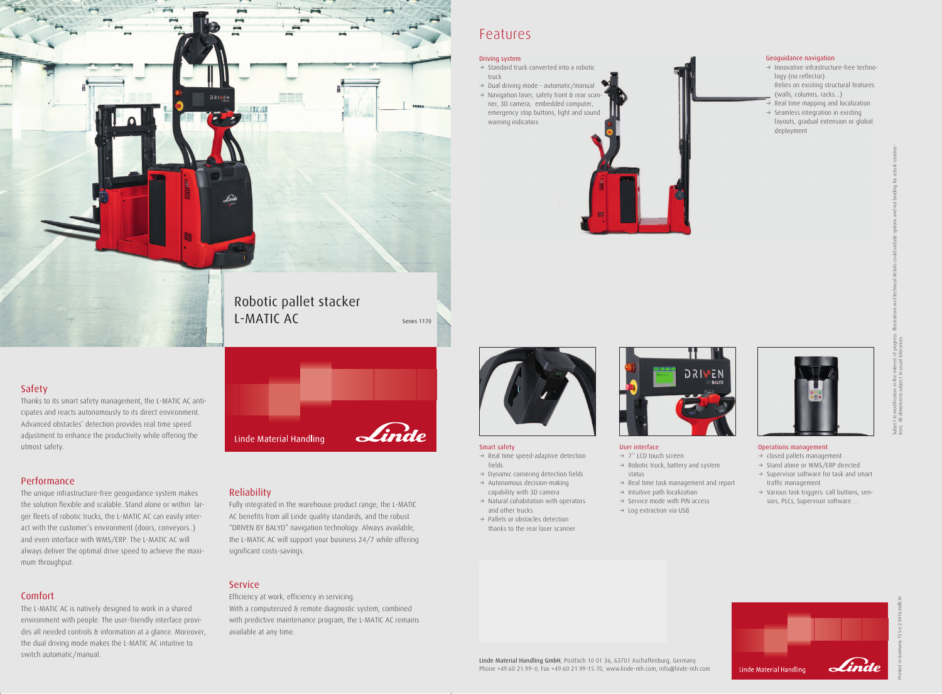## Safety

Thanks to its smart safety management, the L-MATIC AC anticipates and reacts autonomously to its direct environment. Advanced obstacles' detection provides real time speed adjustment to enhance the productivity while offering the utmost safety.

## Performance

The unique infrastructure-free geoguidance system makes the solution flexible and scalable. Stand alone or within larger fleets of robotic trucks, the L-MATIC AC can easily interact with the customer's environment (doors, conveyors..) and even interface with WMS/ERP. The L-MATIC AC will always deliver the optimal drive speed to achieve the maximum throughput.

## Comfort

The L-MATIC AC is natively designed to work in a shared environment with people. The user-friendly interface provides all needed controls & information at a glance. Moreover, the dual driving mode makes the L-MATIC AC intuitive to switch automatic/manual.

### Reliability

Linde Material Handling

- $\rightarrow$  Real time speed-adaptive detection fields
- $\rightarrow$  Dynamic cornering detection fields  $\rightarrow$  Autonomous decision-making
- capability with 3D camera
- $\rightarrow$  Natural cohabitation with operators and other trucks
- $\rightarrow$  Pallets or obstacles detection thanks to the rear laser scanner



Fully integrated in the warehouse product range, the L-MATIC AC benefits from all Linde quality standards, and the robust "DRIVEN BY BALYO" navigation technology. Always available, the L-MATIC AC will support your business 24/7 while offering significant costs-savings.

### **Service**

- $\rightarrow$  closed pallets management
- $\rightarrow$  Stand alone or WMS/ERP directed
- $\rightarrow$  Supervisor software for task and smart traffic management
- $\rightarrow$  Various task triggers: call buttons, sensors, PLCs, Supervisor software …



Efficiency at work, efficiency in servicing. With a computerized & remote diagnostic system, combined with predictive maintenance program, the L-MATIC AC remains available at any time.

- $\rightarrow$  Innovative infrastructure-free technology (no reflector) Relies on existing structural features
- (walls, columns, racks…)
- $\rightarrow$  Real time mapping and localization  $\rightarrow$  Seamless integration in existing
- layouts, gradual extension or global deployment



# Features

- $\rightarrow$  Standard truck converted into a robotic truck
- $\rightarrow$  Dual driving mode automatic/manual
- $\rightarrow$  Navigation laser, safety front & rear scanner, 3D camera, embedded computer, emergency stop buttons, light and sound warning indicators



#### Smart safety

#### User interface

- $\rightarrow$  7" LCD touch screen
- $\rightarrow$  Robotic truck, battery and system status
- $\rightarrow$  Real time task management and report
- $\rightarrow$  Intuitive path localization
- $\rightarrow$  Service mode with PIN access  $\rightarrow$  Log extraction via USB

#### Operations management

Printed in Germany 155.e.2.0416.IndB.Ki

Subject to modification in the interest of progress. Illustrations and technical details could include options and not binding for actual constructions. All dimensions subject to usual tolerances.

#### Geoguidance navigation

#### Driving system